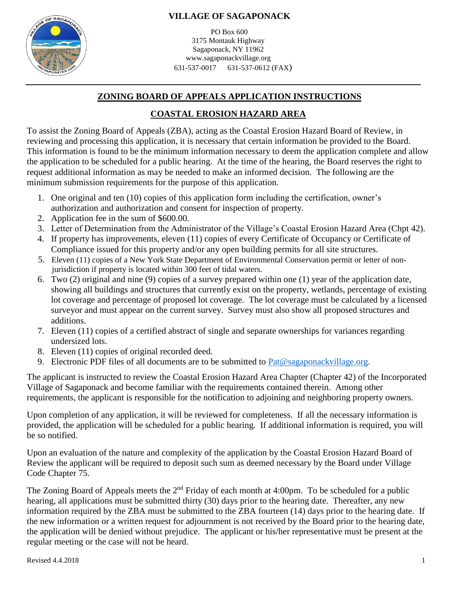

PO Box 600 3175 Montauk Highway Sagaponack, NY 11962 www.sagaponackvillage.org 631-537-0017 631-537-0612 (FAX)

## **ZONING BOARD OF APPEALS APPLICATION INSTRUCTIONS**

## **COASTAL EROSION HAZARD AREA**

To assist the Zoning Board of Appeals (ZBA), acting as the Coastal Erosion Hazard Board of Review, in reviewing and processing this application, it is necessary that certain information be provided to the Board. This information is found to be the minimum information necessary to deem the application complete and allow the application to be scheduled for a public hearing. At the time of the hearing, the Board reserves the right to request additional information as may be needed to make an informed decision. The following are the minimum submission requirements for the purpose of this application.

- 1. One original and ten (10) copies of this application form including the certification, owner's authorization and authorization and consent for inspection of property.
- 2. Application fee in the sum of \$600.00.
- 3. Letter of Determination from the Administrator of the Village's Coastal Erosion Hazard Area (Chpt 42).
- 4. If property has improvements, eleven (11) copies of every Certificate of Occupancy or Certificate of Compliance issued for this property and/or any open building permits for all site structures.
- 5. Eleven (11) copies of a New York State Department of Environmental Conservation permit or letter of non jurisdiction if property is located within 300 feet of tidal waters.
- 6. Two (2) original and nine (9) copies of a survey prepared within one (1) year of the application date, showing all buildings and structures that currently exist on the property, wetlands, percentage of existing lot coverage and percentage of proposed lot coverage. The lot coverage must be calculated by a licensed surveyor and must appear on the current survey. Survey must also show all proposed structures and additions.
- 7. Eleven (11) copies of a certified abstract of single and separate ownerships for variances regarding undersized lots.
- 8. Eleven (11) copies of original recorded deed.
- 9. Electronic PDF files of all documents are to be submitted to  $Pat@saagnonackvillage.org$ .

The applicant is instructed to review the Coastal Erosion Hazard Area Chapter (Chapter 42) of the Incorporated Village of Sagaponack and become familiar with the requirements contained therein. Among other requirements, the applicant is responsible for the notification to adjoining and neighboring property owners.

Upon completion of any application, it will be reviewed for completeness. If all the necessary information is provided, the application will be scheduled for a public hearing. If additional information is required, you will be so notified.

Upon an evaluation of the nature and complexity of the application by the Coastal Erosion Hazard Board of Review the applicant will be required to deposit such sum as deemed necessary by the Board under Village Code Chapter 75.

The Zoning Board of Appeals meets the  $2<sup>nd</sup>$  Friday of each month at 4:00pm. To be scheduled for a public hearing, all applications must be submitted thirty (30) days prior to the hearing date. Thereafter, any new information required by the ZBA must be submitted to the ZBA fourteen (14) days prior to the hearing date. If the new information or a written request for adjournment is not received by the Board prior to the hearing date, the application will be denied without prejudice. The applicant or his/her representative must be present at the regular meeting or the case will not be heard.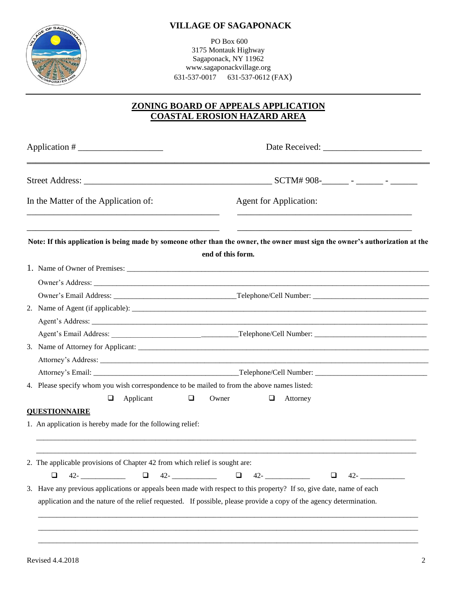

PO Box 600 3175 Montauk Highway Sagaponack, NY 11962 www.sagaponackvillage.org 631-537-0017 631-537-0612 (FAX)

## **ZONING BOARD OF APPEALS APPLICATION COASTAL EROSION HAZARD AREA**

| In the Matter of the Application of:                                                                                                                                                                                                        | <b>Agent for Application:</b>                                                                                                                      |
|---------------------------------------------------------------------------------------------------------------------------------------------------------------------------------------------------------------------------------------------|----------------------------------------------------------------------------------------------------------------------------------------------------|
|                                                                                                                                                                                                                                             | Note: If this application is being made by someone other than the owner, the owner must sign the owner's authorization at the<br>end of this form. |
|                                                                                                                                                                                                                                             |                                                                                                                                                    |
|                                                                                                                                                                                                                                             |                                                                                                                                                    |
|                                                                                                                                                                                                                                             |                                                                                                                                                    |
|                                                                                                                                                                                                                                             |                                                                                                                                                    |
|                                                                                                                                                                                                                                             |                                                                                                                                                    |
|                                                                                                                                                                                                                                             |                                                                                                                                                    |
|                                                                                                                                                                                                                                             |                                                                                                                                                    |
|                                                                                                                                                                                                                                             |                                                                                                                                                    |
|                                                                                                                                                                                                                                             |                                                                                                                                                    |
| 4. Please specify whom you wish correspondence to be mailed to from the above names listed:                                                                                                                                                 |                                                                                                                                                    |
| $\Box$<br>Owner<br>$\Box$<br>Applicant                                                                                                                                                                                                      | $\Box$<br>Attorney                                                                                                                                 |
| <b>QUESTIONNAIRE</b>                                                                                                                                                                                                                        |                                                                                                                                                    |
| 1. An application is hereby made for the following relief:                                                                                                                                                                                  |                                                                                                                                                    |
| 2. The applicable provisions of Chapter 42 from which relief is sought are:                                                                                                                                                                 |                                                                                                                                                    |
|                                                                                                                                                                                                                                             | $\Box$ 42- $\Box$                                                                                                                                  |
| 3. Have any previous applications or appeals been made with respect to this property? If so, give date, name of each<br>application and the nature of the relief requested. If possible, please provide a copy of the agency determination. |                                                                                                                                                    |
|                                                                                                                                                                                                                                             |                                                                                                                                                    |

 $\overline{\phantom{a}}$  ,  $\overline{\phantom{a}}$  ,  $\overline{\phantom{a}}$  ,  $\overline{\phantom{a}}$  ,  $\overline{\phantom{a}}$  ,  $\overline{\phantom{a}}$  ,  $\overline{\phantom{a}}$  ,  $\overline{\phantom{a}}$  ,  $\overline{\phantom{a}}$  ,  $\overline{\phantom{a}}$  ,  $\overline{\phantom{a}}$  ,  $\overline{\phantom{a}}$  ,  $\overline{\phantom{a}}$  ,  $\overline{\phantom{a}}$  ,  $\overline{\phantom{a}}$  ,  $\overline{\phantom{a}}$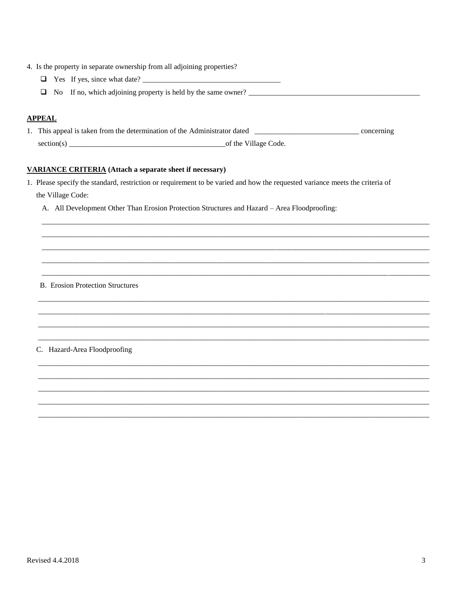- 4. Is the property in separate ownership from all adjoining properties?
	-
	- □ No If no, which adjoining property is held by the same owner? \_\_\_\_\_\_\_\_\_\_\_\_\_\_\_\_

#### **APPEAL**

1. This appeal is taken from the determination of the Administrator dated \_\_\_\_\_\_\_\_\_\_\_\_\_\_\_\_\_\_\_\_\_\_\_\_\_\_\_\_\_\_\_\_ concerning 

#### **VARIANCE CRITERIA** (Attach a separate sheet if necessary)

- 1. Please specify the standard, restriction or requirement to be varied and how the requested variance meets the criteria of the Village Code:
	- A. All Development Other Than Erosion Protection Structures and Hazard Area Floodproofing:

#### **B.** Erosion Protection Structures

C. Hazard-Area Floodproofing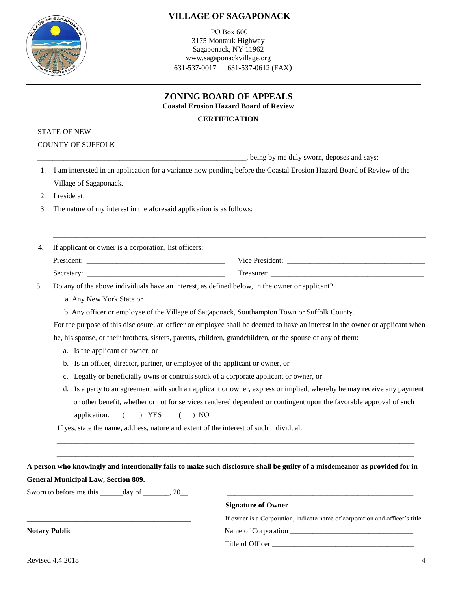

PO Box 600 3175 Montauk Highway Sagaponack, NY 11962 www.sagaponackvillage.org 631-537-0017 631-537-0612 (FAX)

| ZONING BOARD OF APPEALS |  |
|-------------------------|--|
|                         |  |

**Coastal Erosion Hazard Board of Review**

#### **CERTIFICATION**

|    | <b>STATE OF NEW</b>                                                                                         |                                                                                                                                                                                               |
|----|-------------------------------------------------------------------------------------------------------------|-----------------------------------------------------------------------------------------------------------------------------------------------------------------------------------------------|
|    | <b>COUNTY OF SUFFOLK</b>                                                                                    |                                                                                                                                                                                               |
|    |                                                                                                             | being by me duly sworn, deposes and says:                                                                                                                                                     |
| 1. |                                                                                                             | I am interested in an application for a variance now pending before the Coastal Erosion Hazard Board of Review of the                                                                         |
|    | Village of Sagaponack.                                                                                      |                                                                                                                                                                                               |
| 2. |                                                                                                             |                                                                                                                                                                                               |
| 3. |                                                                                                             | The nature of my interest in the aforesaid application is as follows:<br><u> 1999 - Jan James James James James James James James James James James James James James James James James J</u> |
| 4. | If applicant or owner is a corporation, list officers:                                                      |                                                                                                                                                                                               |
|    |                                                                                                             |                                                                                                                                                                                               |
|    |                                                                                                             |                                                                                                                                                                                               |
| 5. | Do any of the above individuals have an interest, as defined below, in the owner or applicant?              |                                                                                                                                                                                               |
|    | a. Any New York State or                                                                                    |                                                                                                                                                                                               |
|    | b. Any officer or employee of the Village of Sagaponack, Southampton Town or Suffolk County.                |                                                                                                                                                                                               |
|    |                                                                                                             | For the purpose of this disclosure, an officer or employee shall be deemed to have an interest in the owner or applicant when                                                                 |
|    | he, his spouse, or their brothers, sisters, parents, children, grandchildren, or the spouse of any of them: |                                                                                                                                                                                               |
|    | a. Is the applicant or owner, or                                                                            |                                                                                                                                                                                               |
|    | b. Is an officer, director, partner, or employee of the applicant or owner, or                              |                                                                                                                                                                                               |
|    | c. Legally or beneficially owns or controls stock of a corporate applicant or owner, or                     |                                                                                                                                                                                               |
|    |                                                                                                             | d. Is a party to an agreement with such an applicant or owner, express or implied, whereby he may receive any payment                                                                         |
|    | ) YES<br>application.<br>$\left($<br>$\left($<br>) NO                                                       | or other benefit, whether or not for services rendered dependent or contingent upon the favorable approval of such                                                                            |
|    | If yes, state the name, address, nature and extent of the interest of such individual.                      |                                                                                                                                                                                               |
|    |                                                                                                             |                                                                                                                                                                                               |
|    | <b>General Municipal Law, Section 809.</b>                                                                  | A person who knowingly and intentionally fails to make such disclosure shall be guilty of a misdemeanor as provided for in                                                                    |
|    |                                                                                                             |                                                                                                                                                                                               |
|    | Sworn to before me this _______ day of _______, 20__                                                        | <b>Signature of Owner</b>                                                                                                                                                                     |
|    |                                                                                                             |                                                                                                                                                                                               |
|    |                                                                                                             | If owner is a Corporation, indicate name of corporation and officer's title                                                                                                                   |
|    | <b>Notary Public</b>                                                                                        |                                                                                                                                                                                               |
|    |                                                                                                             | Title of Officer                                                                                                                                                                              |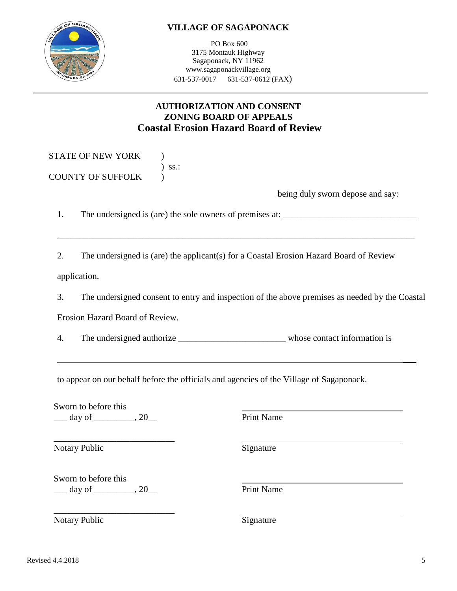PO Box 600 3175 Montauk Highway Sagaponack, NY 11962 www.sagaponackvillage.org 631-537-0017 631-537-0612 (FAX)

# **AUTHORIZATION AND CONSENT ZONING BOARD OF APPEALS Coastal Erosion Hazard Board of Review**

|    |                                         | being duly sworn depose and say:                                                               |
|----|-----------------------------------------|------------------------------------------------------------------------------------------------|
| 1. |                                         |                                                                                                |
| 2. |                                         | The undersigned is (are) the applicant(s) for a Coastal Erosion Hazard Board of Review         |
|    | application.                            |                                                                                                |
| 3. |                                         | The undersigned consent to entry and inspection of the above premises as needed by the Coastal |
|    | Erosion Hazard Board of Review.         |                                                                                                |
| 4. |                                         |                                                                                                |
|    |                                         |                                                                                                |
|    |                                         | to appear on our behalf before the officials and agencies of the Village of Sagaponack.        |
|    | Sworn to before this                    |                                                                                                |
|    | $\frac{1}{2}$ day of $\frac{1}{2}$ , 20 | <b>Print Name</b>                                                                              |
|    |                                         |                                                                                                |
|    | Notary Public                           | Signature                                                                                      |



Notary Public Signature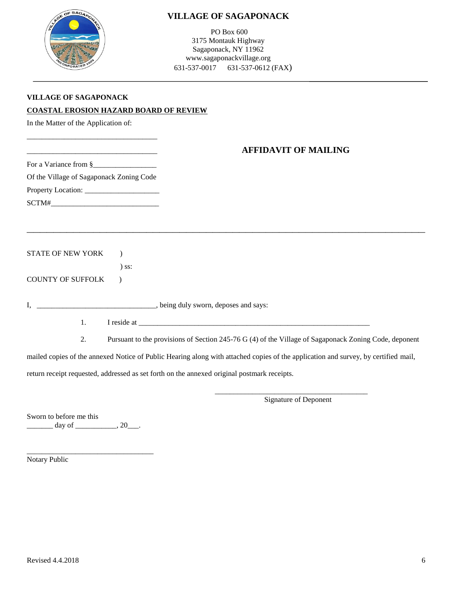

PO Box 600 3175 Montauk Highway Sagaponack, NY 11962 www.sagaponackvillage.org 631-537-0017 631-537-0612 (FAX)

| VILLAGE OF SAGAPONACK                  |
|----------------------------------------|
| COASTAL EROSION HAZARD BOARD OF REVIEW |

In the Matter of the Application of:

### \_\_\_\_\_\_\_\_\_\_\_\_\_\_\_\_\_\_\_\_\_\_\_\_\_\_\_\_\_\_\_\_\_\_\_ **AFFIDAVIT OF MAILING**

| For a Variance from § |  |
|-----------------------|--|
|-----------------------|--|

\_\_\_\_\_\_\_\_\_\_\_\_\_\_\_\_\_\_\_\_\_\_\_\_\_\_\_\_\_\_\_\_\_\_\_

Of the Village of Sagaponack Zoning Code

Property Location: \_\_\_\_\_\_\_\_\_\_\_\_\_\_\_\_\_\_\_\_

 $SCTM# \_\_ \_\_ \_\_ \_\_ \_\_ \_\_ \_\_ \_\_ \_ \_ \_ \_ \_$ 

STATE OF NEW YORK )

) ss:

COUNTY OF SUFFOLK )

I, \_\_\_\_\_\_\_\_\_\_\_\_\_\_\_\_\_\_\_\_\_\_\_\_\_\_\_\_\_\_, being duly sworn, deposes and says:

1. I reside at \_\_\_\_\_\_\_\_\_\_\_\_\_\_\_\_\_\_\_\_\_\_\_\_\_\_\_\_\_\_\_\_\_\_\_\_\_\_\_\_\_\_\_\_\_\_\_\_\_\_\_\_\_\_\_\_\_\_\_\_\_\_

**\_\_\_\_\_\_\_\_\_\_\_\_\_\_\_\_\_\_\_\_\_\_\_\_\_\_\_\_\_\_\_\_\_\_\_\_\_\_\_\_\_\_\_\_\_\_\_\_\_\_\_\_\_\_\_\_\_\_\_\_**

2. Pursuant to the provisions of Section 245-76 G (4) of the Village of Sagaponack Zoning Code, deponent

mailed copies of the annexed Notice of Public Hearing along with attached copies of the application and survey, by certified mail,

return receipt requested, addressed as set forth on the annexed original postmark receipts.

\_\_\_\_\_\_\_\_\_\_\_\_\_\_\_\_\_\_\_\_\_\_\_\_\_\_\_\_\_\_\_\_\_\_\_\_\_\_\_\_\_ Signature of Deponent

Sworn to before me this  $\frac{day \text{ of }_{x \text{ of }_{x \text{ of }_{x}}}(20)}{x}$ 

\_\_\_\_\_\_\_\_\_\_\_\_\_\_\_\_\_\_\_\_\_\_\_\_\_\_\_\_\_\_\_\_\_\_ Notary Public